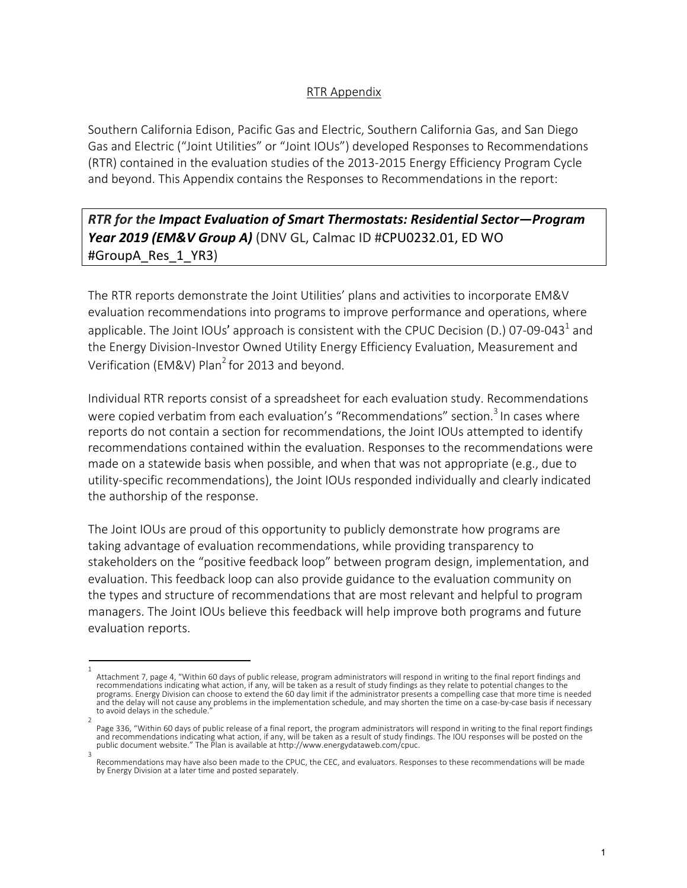## RTR Appendix

Southern California Edison, Pacific Gas and Electric, Southern California Gas, and San Diego Gas and Electric ("Joint Utilities" or "Joint IOUs") developed Responses to Recommendations (RTR) contained in the evaluation studies of the 2013-2015 Energy Efficiency Program Cycle and beyond. This Appendix contains the Responses to Recommendations in the report:

*RTR for the Impact Evaluation of Smart Thermostats: Residential Sector—Program Year 2019 (EM&V Group A)* (DNV GL, Calmac ID #CPU0232.01, ED WO #GroupA\_Res\_1\_YR3)

The RTR reports demonstrate the Joint Utilities' plans and activities to incorporate EM&V evaluation recommendations into programs to improve performance and operations, where applicable. The Joint IOUs' approach is consistent with the CPUC Decision (D.) 07-09-043<sup>1</sup> and the Energy Division-Investor Owned Utility Energy Efficiency Evaluation, Measurement and Verification (EM&V) Plan<sup>2</sup> for 2013 and beyond.

Individual RTR reports consist of a spreadsheet for each evaluation study. Recommendations were copied verbatim from each evaluation's "Recommendations" section.<sup>3</sup> In cases where reports do not contain a section for recommendations, the Joint IOUs attempted to identify recommendations contained within the evaluation. Responses to the recommendations were made on a statewide basis when possible, and when that was not appropriate (e.g., due to utility-specific recommendations), the Joint IOUs responded individually and clearly indicated the authorship of the response.

The Joint IOUs are proud of this opportunity to publicly demonstrate how programs are taking advantage of evaluation recommendations, while providing transparency to stakeholders on the "positive feedback loop" between program design, implementation, and evaluation. This feedback loop can also provide guidance to the evaluation community on the types and structure of recommendations that are most relevant and helpful to program managers. The Joint IOUs believe this feedback will help improve both programs and future evaluation reports.

<sup>1</sup>  Attachment 7, page 4, "Within 60 days of public release, program administrators will respond in writing to the final report findings and recommendations indicating what action, if any, will be taken as a result of study findings as they relate to potential changes to the programs. Energy Division can choose to extend the 60 day limit if the administrator presents a compelling case that more time is needed and the delay will not cause any problems in the implementation schedule, and may shorten the time on a case-by-case basis if necessary to avoid delays in the schedule.

<sup>2</sup>  Page 336, "Within 60 days of public release of a final report, the program administrators will respond in writing to the final report findings and recommendations indicating what action, if any, will be taken as a result of study findings. The IOU responses will be posted on the public document website." The Plan is available at http://www.energydataweb.com/cpuc.

Recommendations may have also been made to the CPUC, the CEC, and evaluators. Responses to these recommendations will be made by Energy Division at a later time and posted separately.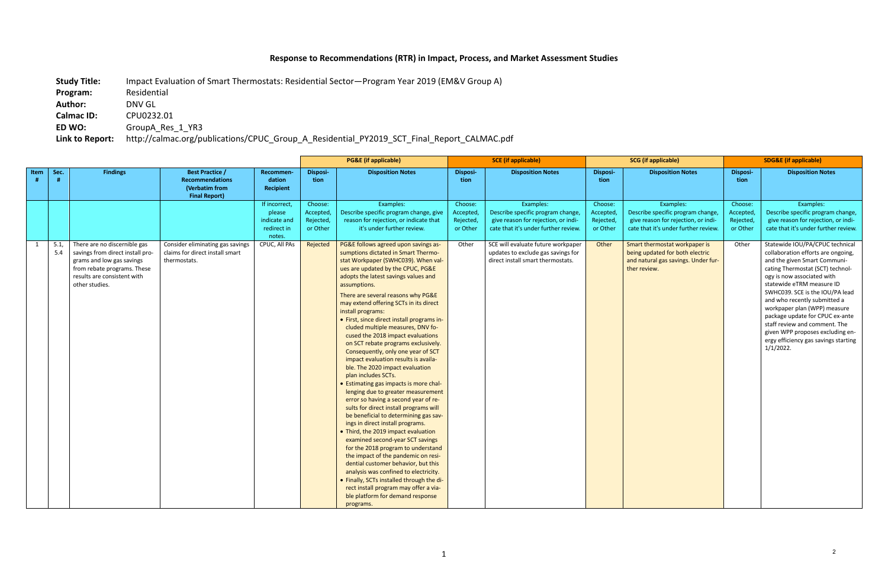## **Response to Recommendations (RTR) in Impact, Process, and Market Assessment Studies**

**Study Title:** Impact Evaluation of Smart Thermostats: Residential Sector—Program Year 2019 (EM&V Group A) **Program:** Residential **Author:** DNV GL **Calmac ID:** CPU0232.01

**ED WO:** GroupA\_Res\_1\_YR3

**Link to Report:** http://calmac.org/publications/CPUC\_Group\_A\_Residential\_PY2019\_SCT\_Final\_Report\_CALMAC.pdf

|              |             |                                                                                                                                                                               |                                                                                            |                                                                  |                                               | <b>PG&amp;E</b> (if applicable)                                                                                                                                                                                                                                                                                                                                                                                                                                                                                                                                                                                                                                                                                                                                                                                                                                                                                                                                                                                                                                                                                                                                                                                                                           | <b>SCE</b> (if applicable)                    |                                                                                                                               | <b>SCG</b> (if applicable)                    |                                                                                                                               | <b>SDG&amp;E (if applicable)</b>              |                                                                                                                                                                                                                                                                                                                                                                                                                                                                         |
|--------------|-------------|-------------------------------------------------------------------------------------------------------------------------------------------------------------------------------|--------------------------------------------------------------------------------------------|------------------------------------------------------------------|-----------------------------------------------|-----------------------------------------------------------------------------------------------------------------------------------------------------------------------------------------------------------------------------------------------------------------------------------------------------------------------------------------------------------------------------------------------------------------------------------------------------------------------------------------------------------------------------------------------------------------------------------------------------------------------------------------------------------------------------------------------------------------------------------------------------------------------------------------------------------------------------------------------------------------------------------------------------------------------------------------------------------------------------------------------------------------------------------------------------------------------------------------------------------------------------------------------------------------------------------------------------------------------------------------------------------|-----------------------------------------------|-------------------------------------------------------------------------------------------------------------------------------|-----------------------------------------------|-------------------------------------------------------------------------------------------------------------------------------|-----------------------------------------------|-------------------------------------------------------------------------------------------------------------------------------------------------------------------------------------------------------------------------------------------------------------------------------------------------------------------------------------------------------------------------------------------------------------------------------------------------------------------------|
| Item         | Sec.<br>#   | <b>Findings</b>                                                                                                                                                               | <b>Best Practice /</b><br><b>Recommendations</b><br>(Verbatim from<br><b>Final Report)</b> | Recommen-<br>dation<br><b>Recipient</b>                          | <b>Disposi-</b><br>tion                       | <b>Disposition Notes</b>                                                                                                                                                                                                                                                                                                                                                                                                                                                                                                                                                                                                                                                                                                                                                                                                                                                                                                                                                                                                                                                                                                                                                                                                                                  | Disposi-<br>tion                              | <b>Disposition Notes</b>                                                                                                      | <b>Disposi-</b><br>tion                       | <b>Disposition Notes</b>                                                                                                      | <b>Disposi-</b><br>tion                       | <b>Disposition Notes</b>                                                                                                                                                                                                                                                                                                                                                                                                                                                |
|              |             |                                                                                                                                                                               |                                                                                            | If incorrect,<br>please<br>indicate and<br>redirect in<br>notes. | Choose:<br>Accepted,<br>Rejected,<br>or Other | Examples:<br>Describe specific program change, give<br>reason for rejection, or indicate that<br>it's under further review.                                                                                                                                                                                                                                                                                                                                                                                                                                                                                                                                                                                                                                                                                                                                                                                                                                                                                                                                                                                                                                                                                                                               | Choose:<br>Accepted,<br>Rejected,<br>or Other | Examples:<br>Describe specific program change,<br>give reason for rejection, or indi-<br>cate that it's under further review. | Choose:<br>Accepted,<br>Rejected,<br>or Other | Examples:<br>Describe specific program change,<br>give reason for rejection, or indi-<br>cate that it's under further review. | Choose:<br>Accepted,<br>Rejected,<br>or Other | Examples:<br>Describe specific program change,<br>give reason for rejection, or indi-<br>cate that it's under further review.                                                                                                                                                                                                                                                                                                                                           |
| $\mathbf{1}$ | 5.1,<br>5.4 | There are no discernible gas<br>savings from direct install pro-<br>grams and low gas savings<br>from rebate programs. These<br>results are consistent with<br>other studies. | Consider eliminating gas savings<br>claims for direct install smart<br>thermostats.        | CPUC, All PAs                                                    | Rejected                                      | PG&E follows agreed upon savings as-<br>sumptions dictated in Smart Thermo-<br>stat Workpaper (SWHC039). When val-<br>ues are updated by the CPUC, PG&E<br>adopts the latest savings values and<br>assumptions.<br>There are several reasons why PG&E<br>may extend offering SCTs in its direct<br>install programs:<br>• First, since direct install programs in-<br>cluded multiple measures, DNV fo-<br>cused the 2018 impact evaluations<br>on SCT rebate programs exclusively.<br>Consequently, only one year of SCT<br>impact evaluation results is availa-<br>ble. The 2020 impact evaluation<br>plan includes SCTs.<br>• Estimating gas impacts is more chal-<br>lenging due to greater measurement<br>error so having a second year of re-<br>sults for direct install programs will<br>be beneficial to determining gas sav-<br>ings in direct install programs.<br>• Third, the 2019 impact evaluation<br>examined second-year SCT savings<br>for the 2018 program to understand<br>the impact of the pandemic on resi-<br>dential customer behavior, but this<br>analysis was confined to electricity.<br>• Finally, SCTs installed through the di-<br>rect install program may offer a via-<br>ble platform for demand response<br>programs. | Other                                         | SCE will evaluate future workpaper<br>updates to exclude gas savings for<br>direct install smart thermostats.                 | Other                                         | Smart thermostat workpaper is<br>being updated for both electric<br>and natural gas savings. Under fur-<br>ther review.       | Other                                         | Statewide IOU/PA/CPUC technical<br>collaboration efforts are ongoing,<br>and the given Smart Communi-<br>cating Thermostat (SCT) technol-<br>ogy is now associated with<br>statewide eTRM measure ID<br>SWHC039. SCE is the IOU/PA lead<br>and who recently submitted a<br>workpaper plan (WPP) measure<br>package update for CPUC ex-ante<br>staff review and comment. The<br>given WPP proposes excluding en-<br>ergy efficiency gas savings starting<br>$1/1/2022$ . |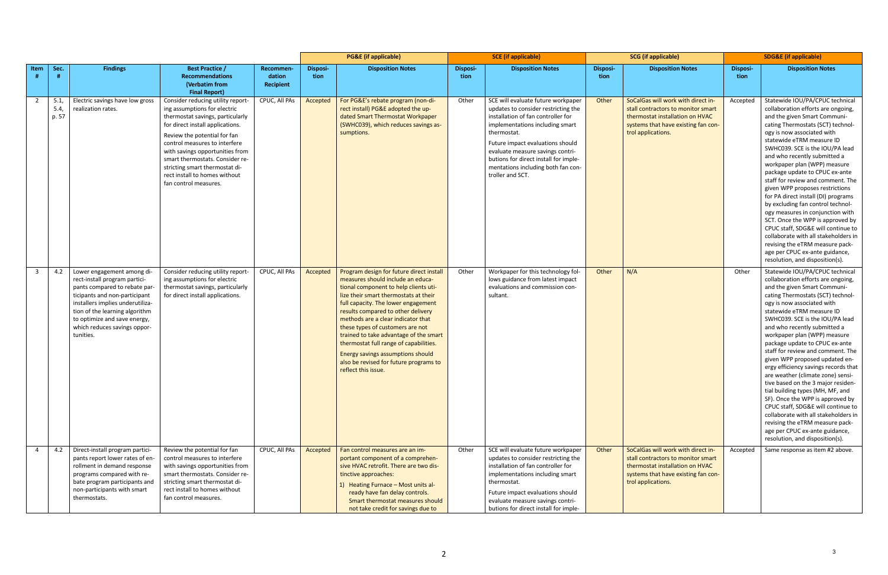|                         |                     |                                                                                                                                                                                                                                                                                 |                                                                                                                                                                                                                                                                                                                                                                              |                                  | <b>PG&amp;E</b> (if applicable) |                                                                                                                                                                                                                                                                                                                                                                                                                                                                                                                  | <b>SCE</b> (if applicable) |                                                                                                                                                                                                                                                                                                                                              | <b>SCG</b> (if applicable) |                                                                                                                                                                          | <b>SDG&amp;E (if applicable)</b> |                                                                                                                                                                                                                                                                                                                                                                                                                                                                                                                                                                                                                                                                                                                                                                                                    |
|-------------------------|---------------------|---------------------------------------------------------------------------------------------------------------------------------------------------------------------------------------------------------------------------------------------------------------------------------|------------------------------------------------------------------------------------------------------------------------------------------------------------------------------------------------------------------------------------------------------------------------------------------------------------------------------------------------------------------------------|----------------------------------|---------------------------------|------------------------------------------------------------------------------------------------------------------------------------------------------------------------------------------------------------------------------------------------------------------------------------------------------------------------------------------------------------------------------------------------------------------------------------------------------------------------------------------------------------------|----------------------------|----------------------------------------------------------------------------------------------------------------------------------------------------------------------------------------------------------------------------------------------------------------------------------------------------------------------------------------------|----------------------------|--------------------------------------------------------------------------------------------------------------------------------------------------------------------------|----------------------------------|----------------------------------------------------------------------------------------------------------------------------------------------------------------------------------------------------------------------------------------------------------------------------------------------------------------------------------------------------------------------------------------------------------------------------------------------------------------------------------------------------------------------------------------------------------------------------------------------------------------------------------------------------------------------------------------------------------------------------------------------------------------------------------------------------|
| Item                    | Sec.                | <b>Findings</b>                                                                                                                                                                                                                                                                 | <b>Best Practice /</b><br><b>Recommendations</b><br>(Verbatim from<br><b>Final Report)</b>                                                                                                                                                                                                                                                                                   | Recommen-<br>dation<br>Recipient | <b>Disposi-</b><br>tion         | <b>Disposition Notes</b>                                                                                                                                                                                                                                                                                                                                                                                                                                                                                         | Disposi-<br>tion           | <b>Disposition Notes</b>                                                                                                                                                                                                                                                                                                                     | Disposi-<br>tion           | <b>Disposition Notes</b>                                                                                                                                                 | Disposi-<br>tion                 | <b>Disposition Notes</b>                                                                                                                                                                                                                                                                                                                                                                                                                                                                                                                                                                                                                                                                                                                                                                           |
| $\overline{2}$          | 5.1<br>5.4<br>p. 57 | Electric savings have low gross<br>realization rates.                                                                                                                                                                                                                           | Consider reducing utility report-<br>ing assumptions for electric<br>thermostat savings, particularly<br>for direct install applications.<br>Review the potential for fan<br>control measures to interfere<br>with savings opportunities from<br>smart thermostats. Consider re-<br>stricting smart thermostat di-<br>rect install to homes without<br>fan control measures. | CPUC, All PAs                    | Accepted                        | For PG&E's rebate program (non-di-<br>rect install) PG&E adopted the up-<br>dated Smart Thermostat Workpaper<br>(SWHC039), which reduces savings as-<br>sumptions.                                                                                                                                                                                                                                                                                                                                               | Other                      | SCE will evaluate future workpaper<br>updates to consider restricting the<br>installation of fan controller for<br>implementations including smart<br>thermostat.<br>Future impact evaluations should<br>evaluate measure savings contri-<br>butions for direct install for imple-<br>mentations including both fan con-<br>troller and SCT. | Other                      | SoCalGas will work with direct in-<br>stall contractors to monitor smart<br>thermostat installation on HVAC<br>systems that have existing fan con-<br>trol applications. | Accepted                         | Statewide IOU/PA/CPUC technical<br>collaboration efforts are ongoing,<br>and the given Smart Communi-<br>cating Thermostats (SCT) technol-<br>ogy is now associated with<br>statewide eTRM measure ID<br>SWHC039. SCE is the IOU/PA lead<br>and who recently submitted a<br>workpaper plan (WPP) measure<br>package update to CPUC ex-ante<br>staff for review and comment. The<br>given WPP proposes restrictions<br>for PA direct install (DI) programs<br>by excluding fan control technol-<br>ogy measures in conjunction with<br>SCT. Once the WPP is approved by<br>CPUC staff, SDG&E will continue to<br>collaborate with all stakeholders in<br>revising the eTRM measure pack-<br>age per CPUC ex-ante guidance,<br>resolution, and disposition(s).                                       |
| $\overline{\mathbf{3}}$ | 4.2                 | Lower engagement among di-<br>rect-install program partici-<br>pants compared to rebate par<br>ticipants and non-participant<br>installers implies underutiliza-<br>tion of the learning algorithm<br>to optimize and save energy,<br>which reduces savings oppor-<br>tunities. | Consider reducing utility report-<br>ing assumptions for electric<br>thermostat savings, particularly<br>for direct install applications.                                                                                                                                                                                                                                    | CPUC, All PAs                    | Accepted                        | Program design for future direct install<br>measures should include an educa-<br>tional component to help clients uti-<br>lize their smart thermostats at their<br>full capacity. The lower engagement<br>results compared to other delivery<br>methods are a clear indicator that<br>these types of customers are not<br>trained to take advantage of the smart<br>thermostat full range of capabilities.<br>Energy savings assumptions should<br>also be revised for future programs to<br>reflect this issue. | Other                      | Workpaper for this technology fol-<br>lows guidance from latest impact<br>evaluations and commission con-<br>sultant.                                                                                                                                                                                                                        | Other                      | N/A                                                                                                                                                                      | Other                            | Statewide IOU/PA/CPUC technical<br>collaboration efforts are ongoing,<br>and the given Smart Communi-<br>cating Thermostats (SCT) technol-<br>ogy is now associated with<br>statewide eTRM measure ID<br>SWHC039. SCE is the IOU/PA lead<br>and who recently submitted a<br>workpaper plan (WPP) measure<br>package update to CPUC ex-ante<br>staff for review and comment. The<br>given WPP proposed updated en-<br>ergy efficiency savings records that<br>are weather (climate zone) sensi-<br>tive based on the 3 major residen-<br>tial building types (MH, MF, and<br>SF). Once the WPP is approved by<br>CPUC staff, SDG&E will continue to<br>collaborate with all stakeholders in<br>revising the eTRM measure pack-<br>age per CPUC ex-ante guidance,<br>resolution, and disposition(s). |
| $\overline{4}$          | 4.2                 | Direct-install program partici-<br>pants report lower rates of en-<br>rollment in demand response<br>programs compared with re-<br>bate program participants and<br>non-participants with smart<br>thermostats.                                                                 | Review the potential for fan<br>control measures to interfere<br>with savings opportunities from<br>smart thermostats. Consider re-<br>stricting smart thermostat di-<br>rect install to homes without<br>fan control measures.                                                                                                                                              | CPUC, All PAs                    | Accepted                        | Fan control measures are an im-<br>portant component of a comprehen-<br>sive HVAC retrofit. There are two dis-<br>tinctive approaches:<br>1) Heating Furnace - Most units al-<br>ready have fan delay controls.<br>Smart thermostat measures should<br>not take credit for savings due to                                                                                                                                                                                                                        | Other                      | SCE will evaluate future workpaper<br>updates to consider restricting the<br>installation of fan controller for<br>implementations including smart<br>thermostat.<br>Future impact evaluations should<br>evaluate measure savings contri-<br>butions for direct install for imple-                                                           | Other                      | SoCalGas will work with direct in-<br>stall contractors to monitor smart<br>thermostat installation on HVAC<br>systems that have existing fan con-<br>trol applications. | Accepted                         | Same response as item #2 above.                                                                                                                                                                                                                                                                                                                                                                                                                                                                                                                                                                                                                                                                                                                                                                    |